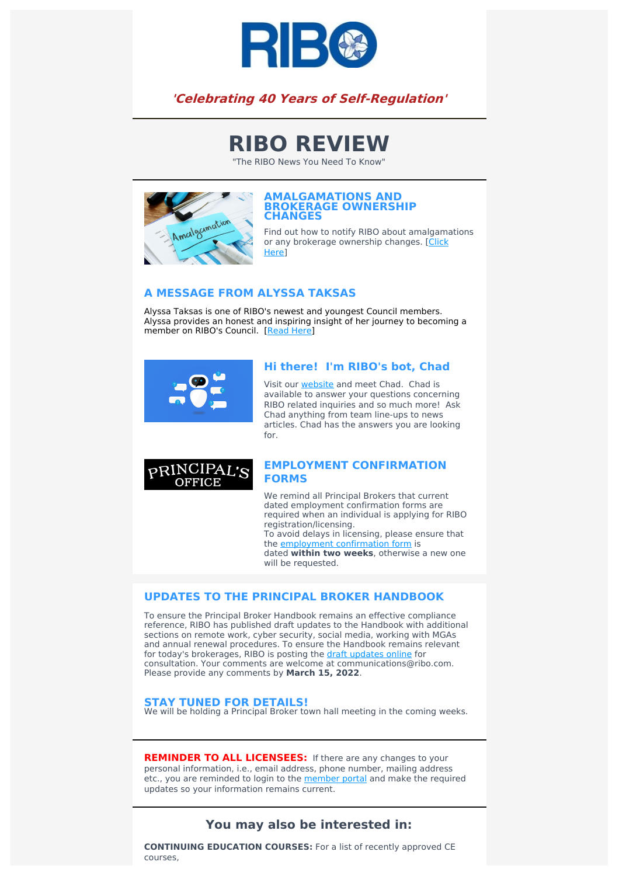

## **'Celebrating 40 Years of Self-Regulation'**

# **RIBO REVIEW**

"The RIBO News You Need To Know"



#### **AMALGAMATIONS AND BROKERAGE OWNERSHIP CHANGES**

Find out how to notify RIBO about amalgamations or any brokerage [ownership](https://www.ribo.com/amalgamation-notice/) changes. [Click] **Here**<sup>l</sup>

#### **A MESSAGE FROM ALYSSA TAKSAS**

Alyssa Taksas is one of RIBO's newest and youngest Council members. Alyssa provides an honest and inspiring insight of her journey to becoming a member on RIBO's Council. [\[Read](https://www.ribo.com/alyssa-taksas/) Here]



#### **Hi there! I'm RIBO's bot, Chad**

Visit our **[website](https://www.ribo.com/)** and meet Chad. Chad is available to answer your questions concerning RIBO related inquiries and so much more! Ask Chad anything from team line-ups to news articles. Chad has the answers you are looking for.



#### **EMPLOYMENT CONFIRMATION FORMS**

We remind all Principal Brokers that current dated employment confirmation forms are required when an individual is applying for RIBO registration/licensing. To avoid delays in licensing, please ensure that the employment [confirmation](https://www.ribo.com/wp-content/uploads/2021/12/Employment-Letter.pdf) form is dated **within two weeks**, otherwise a new one will be requested.

#### **UPDATES TO THE PRINCIPAL BROKER HANDBOOK**

To ensure the Principal Broker Handbook remains an effective compliance reference, RIBO has published draft updates to the Handbook with additional sections on remote work, cyber security, social media, working with MGAs and annual renewal procedures. To ensure the Handbook remains relevant for today's brokerages, RIBO is posting the draft [updates](https://www.ribo.com/consultation-on-the-principal-broker-handbook/) online for consultation. Your comments are welcome at communications@ribo.com. Please provide any comments by **March 15, 2022**.

#### **STAY TUNED FOR DETAILS!**

We will be holding a Principal Broker town hall meeting in the coming weeks.

**REMINDER TO ALL LICENSEES:** If there are any changes to your personal information, i.e., email address, phone number, mailing address etc., you are reminded to login to the **[member](https://membership.ribo.com/ThinClient/Public/LogOn/EN/#/forms/new/?table=0x8000000000000174&form=0x8000000000000026&command=0x8000000000000BD0) portal** and make the required updates so your information remains current.

### **You may also be interested in:**

**CONTINUING EDUCATION COURSES:** For a list of recently approved CE courses,